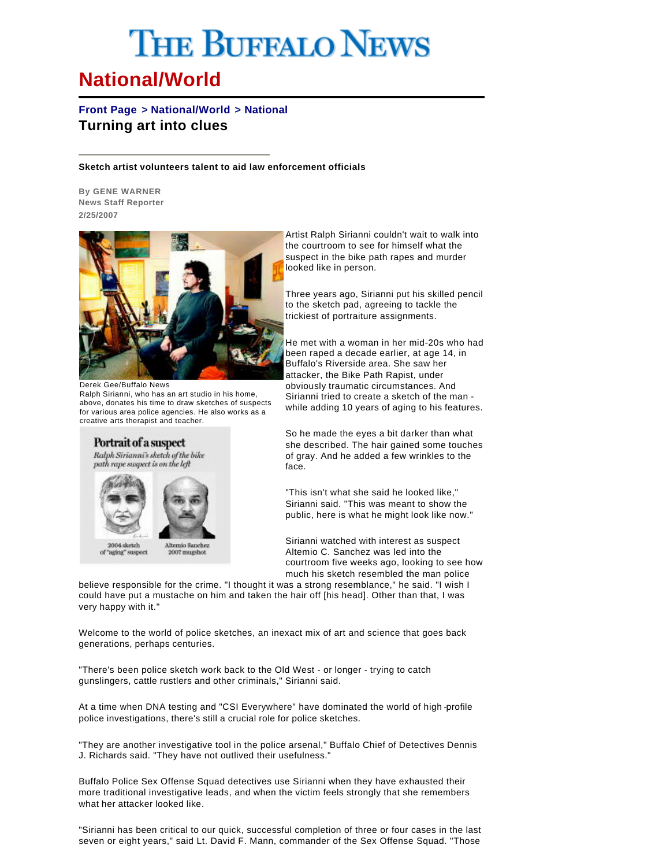## **THE BUFFALO NEWS**

## **National/World**

## **Front Page > National/World > National Turning art into clues**

## **Sketch artist volunteers talent to aid law enforcement officials**

**By GENE WARNER News Staff Reporter 2/25/2007**



Derek Gee/Buffalo News Ralph Sirianni, who has an art studio in his home, above, donates his time to draw sketches of suspects for various area police agencies. He also works as a creative arts therapist and teacher.



8004 sketch aging" suspect

Altemio Sanche 2007 mugshot

Artist Ralph Sirianni couldn't wait to walk into the courtroom to see for himself what the suspect in the bike path rapes and murder looked like in person.

Three years ago, Sirianni put his skilled pencil to the sketch pad, agreeing to tackle the trickiest of portraiture assignments.

He met with a woman in her mid-20s who had been raped a decade earlier, at age 14, in Buffalo's Riverside area. She saw her attacker, the Bike Path Rapist, under obviously traumatic circumstances. And Sirianni tried to create a sketch of the man while adding 10 years of aging to his features.

So he made the eyes a bit darker than what she described. The hair gained some touches of gray. And he added a few wrinkles to the face.

"This isn't what she said he looked like," Sirianni said. "This was meant to show the public, here is what he might look like now."

Sirianni watched with interest as suspect Altemio C. Sanchez was led into the courtroom five weeks ago, looking to see how much his sketch resembled the man police

believe responsible for the crime. "I thought it was a strong resemblance," he said. "I wish I could have put a mustache on him and taken the hair off [his head]. Other than that, I was very happy with it."

Welcome to the world of police sketches, an inexact mix of art and science that goes back generations, perhaps centuries.

"There's been police sketch work back to the Old West - or longer - trying to catch gunslingers, cattle rustlers and other criminals," Sirianni said.

At a time when DNA testing and "CSI Everywhere" have dominated the world of high -profile police investigations, there's still a crucial role for police sketches.

"They are another investigative tool in the police arsenal," Buffalo Chief of Detectives Dennis J. Richards said. "They have not outlived their usefulness."

Buffalo Police Sex Offense Squad detectives use Sirianni when they have exhausted their more traditional investigative leads, and when the victim feels strongly that she remembers what her attacker looked like.

"Sirianni has been critical to our quick, successful completion of three or four cases in the last seven or eight years," said Lt. David F. Mann, commander of the Sex Offense Squad. "Those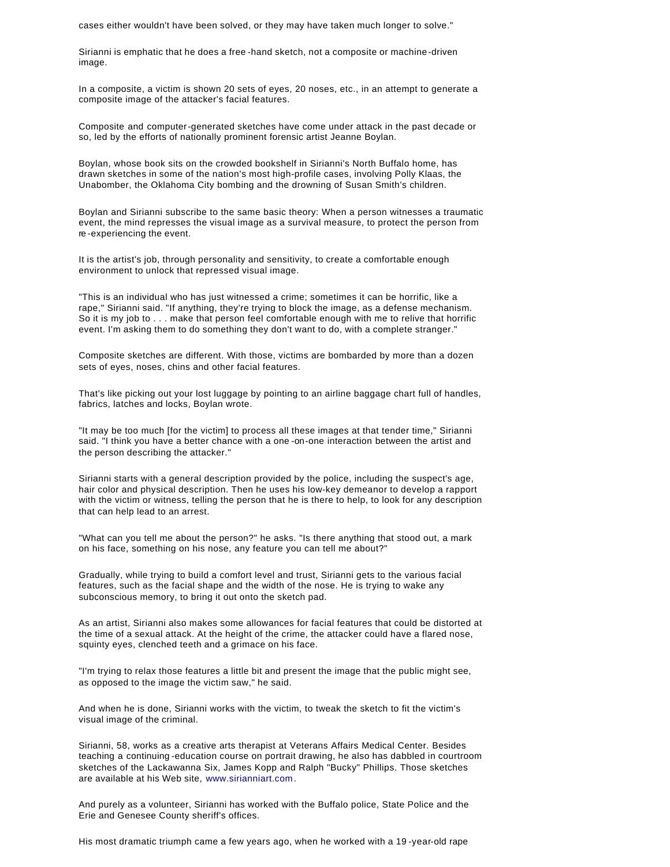cases either wouldn't have been solved, or they may have taken much longer to solve."

Sirianni is emphatic that he does a free -hand sketch, not a composite or machine-driven image.

In a composite, a victim is shown 20 sets of eyes, 20 noses, etc., in an attempt to generate a composite image of the attacker's facial features.

Composite and computer-generated sketches have come under attack in the past decade or so, led by the efforts of nationally prominent forensic artist Jeanne Boylan.

Boylan, whose book sits on the crowded bookshelf in Sirianni's North Buffalo home, has drawn sketches in some of the nation's most high-profile cases, involving Polly Klaas, the Unabomber, the Oklahoma City bombing and the drowning of Susan Smith's children.

Boylan and Sirianni subscribe to the same basic theory: When a person witnesses a traumatic event, the mind represses the visual image as a survival measure, to protect the person from re -experiencing the event.

It is the artist's job, through personality and sensitivity, to create a comfortable enough environment to unlock that repressed visual image.

"This is an individual who has just witnessed a crime; sometimes it can be horrific, like a rape," Sirianni said. "If anything, they're trying to block the image, as a defense mechanism. So it is my job to . . . make that person feel comfortable enough with me to relive that horrific event. I'm asking them to do something they don't want to do, with a complete stranger."

Composite sketches are different. With those, victims are bombarded by more than a dozen sets of eyes, noses, chins and other facial features.

That's like picking out your lost luggage by pointing to an airline baggage chart full of handles, fabrics, latches and locks, Boylan wrote.

"It may be too much [for the victim] to process all these images at that tender time," Sirianni said. "I think you have a better chance with a one -on-one interaction between the artist and the person describing the attacker."

Sirianni starts with a general description provided by the police, including the suspect's age, hair color and physical description. Then he uses his low-key demeanor to develop a rapport with the victim or witness, telling the person that he is there to help, to look for any description that can help lead to an arrest.

"What can you tell me about the person?" he asks. "Is there anything that stood out, a mark on his face, something on his nose, any feature you can tell me about?"

Gradually, while trying to build a comfort level and trust, Sirianni gets to the various facial features, such as the facial shape and the width of the nose. He is trying to wake any subconscious memory, to bring it out onto the sketch pad.

As an artist, Sirianni also makes some allowances for facial features that could be distorted at the time of a sexual attack. At the height of the crime, the attacker could have a flared nose, squinty eyes, clenched teeth and a grimace on his face.

"I'm trying to relax those features a little bit and present the image that the public might see, as opposed to the image the victim saw," he said.

And when he is done, Sirianni works with the victim, to tweak the sketch to fit the victim's visual image of the criminal.

Sirianni, 58, works as a creative arts therapist at Veterans Affairs Medical Center. Besides teaching a continuing -education course on portrait drawing, he also has dabbled in courtroom sketches of the Lackawanna Six, James Kopp and Ralph "Bucky" Phillips. Those sketches are available at his Web site, www.sirianniart.com.

And purely as a volunteer, Sirianni has worked with the Buffalo police, State Police and the Erie and Genesee County sheriff's offices.

His most dramatic triumph came a few years ago, when he worked with a 19 -year-old rape